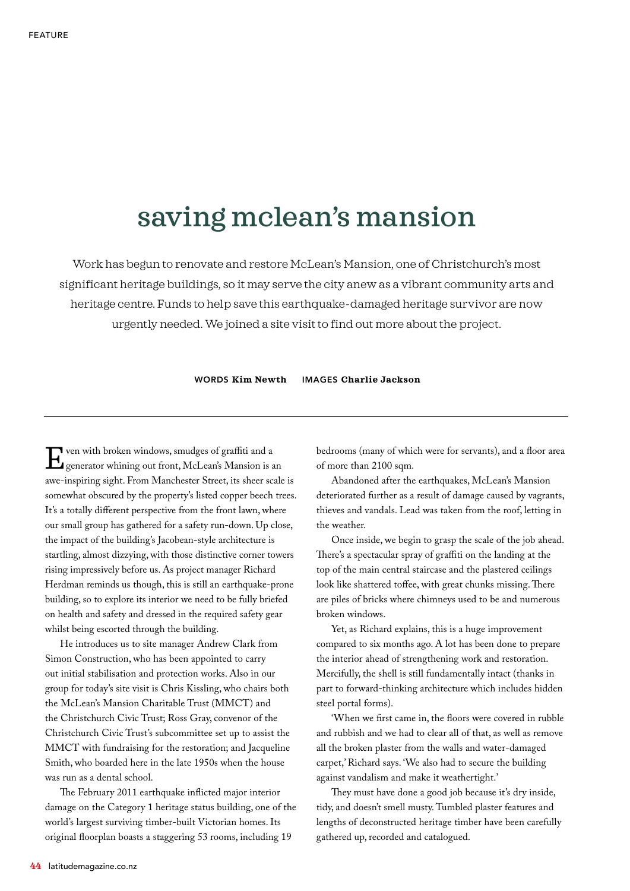## saving mclean's mansion

Work has begun to renovate and restore McLean's Mansion, one of Christchurch's most significant heritage buildings, so it may serve the city anew as a vibrant community arts and heritage centre. Funds to help save this earthquake-damaged heritage survivor are now urgently needed. We joined a site visit to find out more about the project.

WORDS **Kim Newth** IMAGES **Charlie Jackson**

Even with broken windows, smudges of graffiti and a generator whining out front, McLean's Mansion is an awe-inspiring sight. From Manchester Street, its sheer scale is somewhat obscured by the property's listed copper beech trees. It's a totally different perspective from the front lawn, where our small group has gathered for a safety run-down. Up close, the impact of the building's Jacobean-style architecture is startling, almost dizzying, with those distinctive corner towers rising impressively before us. As project manager Richard Herdman reminds us though, this is still an earthquake-prone building, so to explore its interior we need to be fully briefed on health and safety and dressed in the required safety gear whilst being escorted through the building.

He introduces us to site manager Andrew Clark from Simon Construction, who has been appointed to carry out initial stabilisation and protection works. Also in our group for today's site visit is Chris Kissling, who chairs both the McLean's Mansion Charitable Trust (MMCT) and the Christchurch Civic Trust; Ross Gray, convenor of the Christchurch Civic Trust's subcommittee set up to assist the MMCT with fundraising for the restoration; and Jacqueline Smith, who boarded here in the late 1950s when the house was run as a dental school.

The February 2011 earthquake inflicted major interior damage on the Category 1 heritage status building, one of the world's largest surviving timber-built Victorian homes. Its original floorplan boasts a staggering 53 rooms, including 19

bedrooms (many of which were for servants), and a floor area of more than 2100 sqm.

Abandoned after the earthquakes, McLean's Mansion deteriorated further as a result of damage caused by vagrants, thieves and vandals. Lead was taken from the roof, letting in the weather.

Once inside, we begin to grasp the scale of the job ahead. There's a spectacular spray of graffiti on the landing at the top of the main central staircase and the plastered ceilings look like shattered toffee, with great chunks missing. There are piles of bricks where chimneys used to be and numerous broken windows.

Yet, as Richard explains, this is a huge improvement compared to six months ago. A lot has been done to prepare the interior ahead of strengthening work and restoration. Mercifully, the shell is still fundamentally intact (thanks in part to forward-thinking architecture which includes hidden steel portal forms).

'When we first came in, the floors were covered in rubble and rubbish and we had to clear all of that, as well as remove all the broken plaster from the walls and water-damaged carpet,' Richard says. 'We also had to secure the building against vandalism and make it weathertight.'

They must have done a good job because it's dry inside, tidy, and doesn't smell musty. Tumbled plaster features and lengths of deconstructed heritage timber have been carefully gathered up, recorded and catalogued.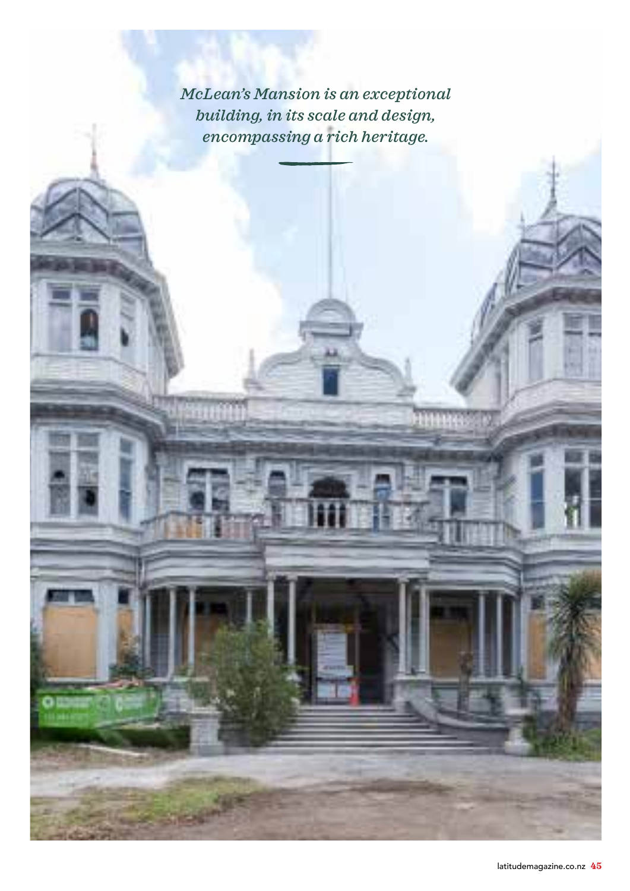*McLean's Mansion is an exceptional building, in its scale and design, encompassing a rich heritage.*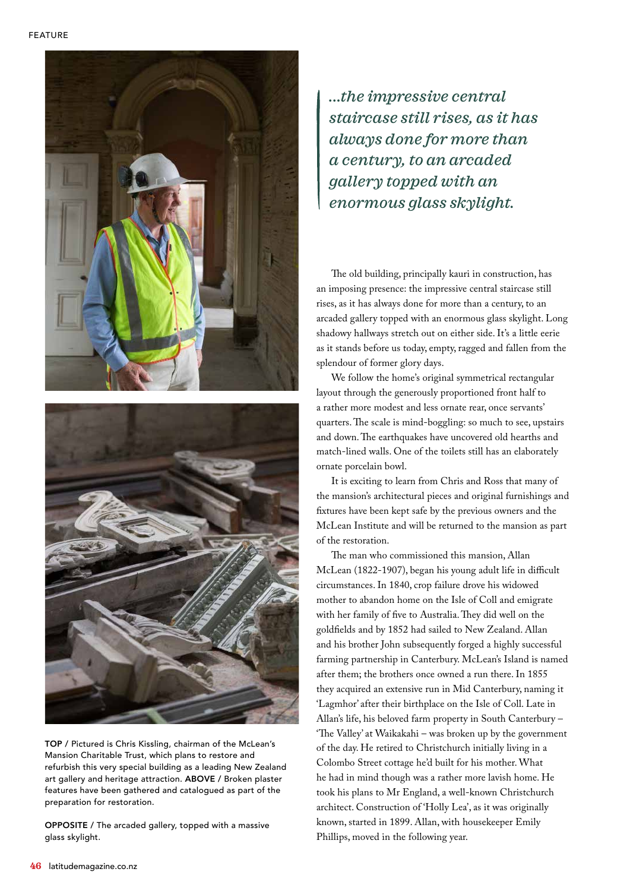



TOP / Pictured is Chris Kissling, chairman of the McLean's Mansion Charitable Trust, which plans to restore and refurbish this very special building as a leading New Zealand art gallery and heritage attraction. ABOVE / Broken plaster features have been gathered and catalogued as part of the preparation for restoration.

OPPOSITE / The arcaded gallery, topped with a massive glass skylight.

*...the impressive central staircase still rises, as it has always done for more than a century, to an arcaded gallery topped with an enormous glass skylight.* 

The old building, principally kauri in construction, has an imposing presence: the impressive central staircase still rises, as it has always done for more than a century, to an arcaded gallery topped with an enormous glass skylight. Long shadowy hallways stretch out on either side. It's a little eerie as it stands before us today, empty, ragged and fallen from the splendour of former glory days.

We follow the home's original symmetrical rectangular layout through the generously proportioned front half to a rather more modest and less ornate rear, once servants' quarters. The scale is mind-boggling: so much to see, upstairs and down. The earthquakes have uncovered old hearths and match-lined walls. One of the toilets still has an elaborately ornate porcelain bowl.

It is exciting to learn from Chris and Ross that many of the mansion's architectural pieces and original furnishings and fixtures have been kept safe by the previous owners and the McLean Institute and will be returned to the mansion as part of the restoration.

The man who commissioned this mansion, Allan McLean (1822-1907), began his young adult life in difficult circumstances. In 1840, crop failure drove his widowed mother to abandon home on the Isle of Coll and emigrate with her family of five to Australia. They did well on the goldfields and by 1852 had sailed to New Zealand. Allan and his brother John subsequently forged a highly successful farming partnership in Canterbury. McLean's Island is named after them; the brothers once owned a run there. In 1855 they acquired an extensive run in Mid Canterbury, naming it 'Lagmhor' after their birthplace on the Isle of Coll. Late in Allan's life, his beloved farm property in South Canterbury – 'The Valley' at Waikakahi – was broken up by the government of the day. He retired to Christchurch initially living in a Colombo Street cottage he'd built for his mother. What he had in mind though was a rather more lavish home. He took his plans to Mr England, a well-known Christchurch architect. Construction of 'Holly Lea', as it was originally known, started in 1899. Allan, with housekeeper Emily Phillips, moved in the following year.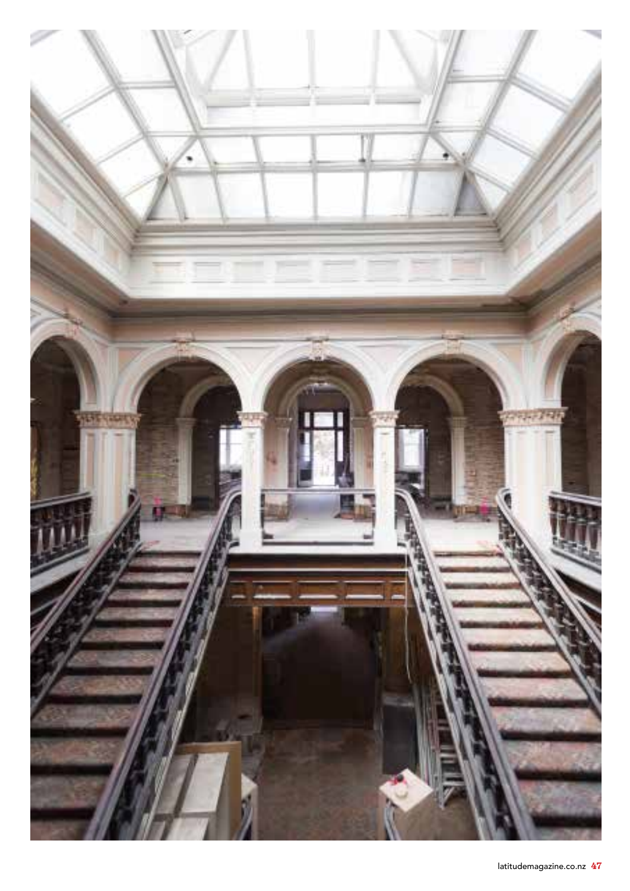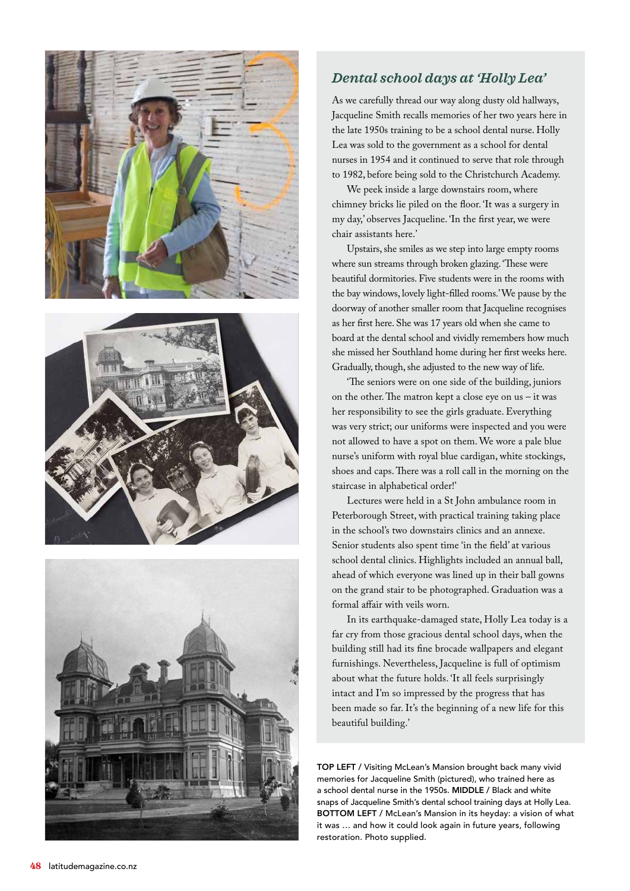





#### *Dental school days at 'Holly Lea'*

As we carefully thread our way along dusty old hallways, Jacqueline Smith recalls memories of her two years here in the late 1950s training to be a school dental nurse. Holly Lea was sold to the government as a school for dental nurses in 1954 and it continued to serve that role through to 1982, before being sold to the Christchurch Academy.

We peek inside a large downstairs room, where chimney bricks lie piled on the floor. 'It was a surgery in my day,' observes Jacqueline. 'In the first year, we were chair assistants here.'

Upstairs, she smiles as we step into large empty rooms where sun streams through broken glazing. 'These were beautiful dormitories. Five students were in the rooms with the bay windows, lovely light-filled rooms.' We pause by the doorway of another smaller room that Jacqueline recognises as her first here. She was 17 years old when she came to board at the dental school and vividly remembers how much she missed her Southland home during her first weeks here. Gradually, though, she adjusted to the new way of life.

'The seniors were on one side of the building, juniors on the other. The matron kept a close eye on us – it was her responsibility to see the girls graduate. Everything was very strict; our uniforms were inspected and you were not allowed to have a spot on them. We wore a pale blue nurse's uniform with royal blue cardigan, white stockings, shoes and caps. There was a roll call in the morning on the staircase in alphabetical order!'

Lectures were held in a St John ambulance room in Peterborough Street, with practical training taking place in the school's two downstairs clinics and an annexe. Senior students also spent time 'in the field' at various school dental clinics. Highlights included an annual ball, ahead of which everyone was lined up in their ball gowns on the grand stair to be photographed. Graduation was a formal affair with veils worn.

In its earthquake-damaged state, Holly Lea today is a far cry from those gracious dental school days, when the building still had its fine brocade wallpapers and elegant furnishings. Nevertheless, Jacqueline is full of optimism about what the future holds. 'It all feels surprisingly intact and I'm so impressed by the progress that has been made so far. It's the beginning of a new life for this beautiful building.'

TOP LEFT / Visiting McLean's Mansion brought back many vivid memories for Jacqueline Smith (pictured), who trained here as a school dental nurse in the 1950s. MIDDLE / Black and white snaps of Jacqueline Smith's dental school training days at Holly Lea. BOTTOM LEFT / McLean's Mansion in its heyday: a vision of what it was … and how it could look again in future years, following restoration. Photo supplied.